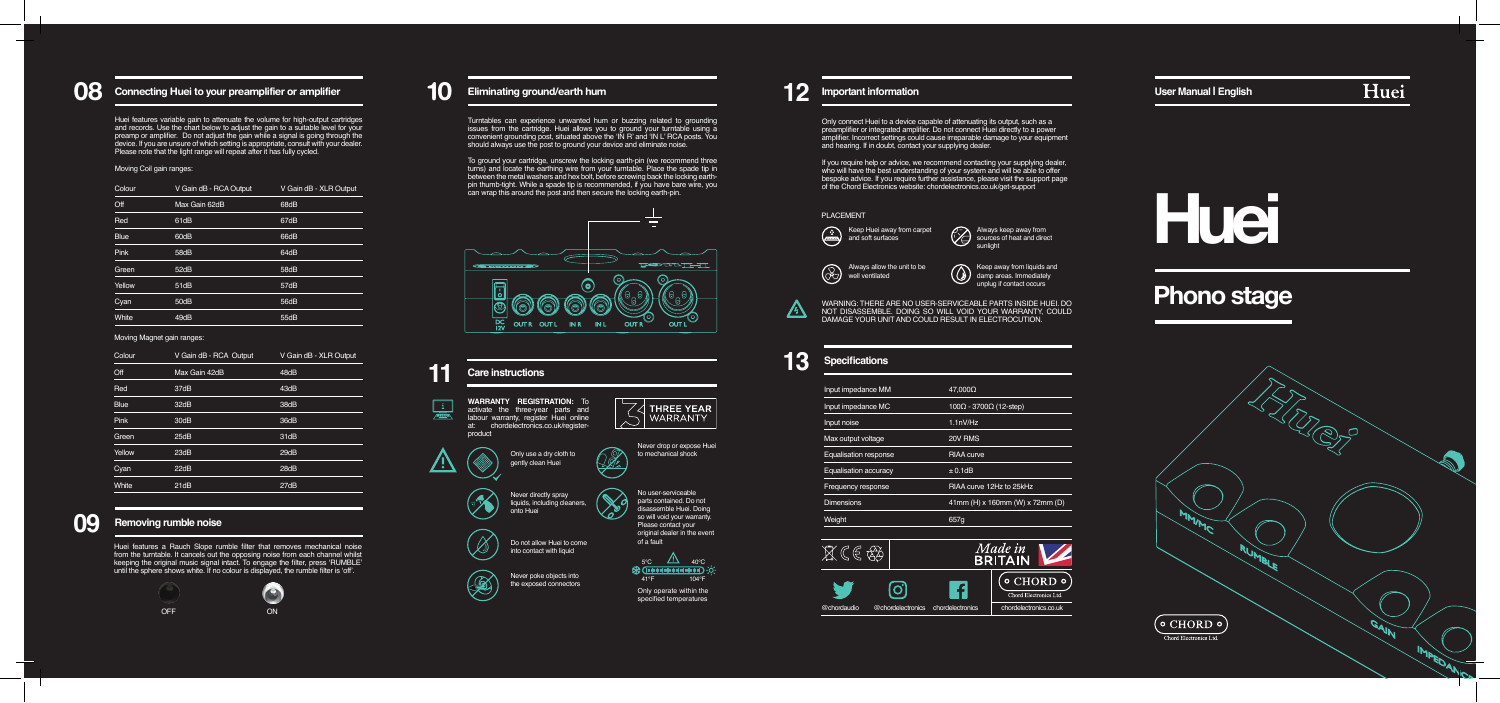# **08** Connecting Huei to your preamplifier or amplifier

| Colour      | V Gain dB - RCA Output | V Gain dB - XLR Output |
|-------------|------------------------|------------------------|
| Off         | Max Gain 62dB          | 68dB                   |
| Red         | 61dB                   | 67dB                   |
| <b>Blue</b> | 60dB                   | 66dB                   |
| Pink        | 58dB                   | 64dB                   |
| Green       | 52dB                   | 58dB                   |
| Yellow      | 51dB                   | 57dB                   |
| Cyan        | 50dB                   | 56dB                   |
| White       | 49dB                   | 55dB                   |
|             |                        |                        |

Huei features variable gain to attenuate the volume for high-output cartridges and records. Use the chart below to adjust the gain to a suitable level for your preamp or amplifier. Do not adjust the gain while a signal is going through the<br>device. If you are unsure of which setting is appropriate, consult with your dealer.<br>Please note that the light range will repeat after it has

### Moving Coil gain ranges:

### Moving Magnet gain ranges:

| Colour      | V Gain dB - RCA Output | V Gain dB - XLR Output |
|-------------|------------------------|------------------------|
| Off         | Max Gain 42dB          | 48dB                   |
| Red         | 37dB                   | 43dB                   |
| <b>Blue</b> | 32dB                   | 38dB                   |
| Pink        | 30dB                   | 36dB                   |
| Green       | 25dB                   | 31dB                   |
| Yellow      | 23dB                   | 29dB                   |
| Cyan        | 22dB                   | 28dB                   |
| White       | 21dB                   | 27dB                   |
|             |                        |                        |

Huei features a Rauch Slope rumble filter that removes mechanical noise from the turntable. It cancels out the opposing noise from each channel whilst keeping the original music signal intact. To engage the filter, press 'RUMBLE' until the sphere shows white. If no colour is displayed, the rumble filter is 'off'.





### WARNING: THERE ARE NO USER-SERVICEABLE PARTS INSIDE HUEI. DO NOT DISASSEMBLE. DOING SO WILL VOID YOUR WARRANTY, COULD DAMAGE YOUR UNIT AND COULD RESULT IN ELECTROCUTION.

Turntables can experience unwanted hum or buzzing related to grounding issues from the cartridge. Huei allows you to ground your turntable using a convenient grounding post, situated above the 'IN R' and 'IN L' RCA posts. You should always use the post to ground your device and eliminate noise.

> If you require help or advice, we recommend contacting your supplying dealer, who will have the best understanding of your system and will be able to offer bespoke advice. If you require further assistance, please visit the support page of the Chord Electronics website: chordelectronics.co.uk/get-support

To ground your cartridge, unscrew the locking earth-pin (we recommend three turns) and locate the earthing wire from your turntable. Place the spade tip in between the metal washers and hex bolt, before screwing back the locking earthpin thumb-tight. While a spade tip is recommended, if you have bare wire, you can wrap this around the post and then secure the locking earth-pin.





Only connect Huei to a device capable of attenuating its output, such as a preamplifier or integrated amplifier. Do not connect Huei directly to a power amplifier. Incorrect settings could cause irreparable damage to your equipment and hearing. If in doubt, contact your supplying dealer.





Always keep away from sources of heat and direct sunlight



 $\circledS$ Keep away from liquids and damp areas. Immediately unplug if contact occurs

### PLACEMENT

| Weight                       | 657g                                          |
|------------------------------|-----------------------------------------------|
| <b>Dimensions</b>            | 41mm (H) x 160mm (W) x 72mm (D)               |
| Frequency response           | RIAA curve 12Hz to 25kHz                      |
| Equalisation accuracy        | ± 0.1dB                                       |
| <b>Equalisation response</b> | <b>RIAA</b> curve                             |
| Max output voltage           | 20V RMS                                       |
| Input noise                  | 1.1nV/Hz                                      |
| Input impedance MC           | $100\Omega - 3700\overline{\Omega}$ (12-step) |
| Input impedance MM           | $47.000\Omega$                                |
|                              |                                               |

# **10 Eliminating ground/earth hum 12 Important information**

# **Phono stage**

Mς  $\circ$  CHORD  $\circ$ Chord Electronics Ltd

Huei

**User Manual | English**



**Huei**

# **13 Specifications**

 $\sqrt{4}$ 

# **09 Removing rumble noise**